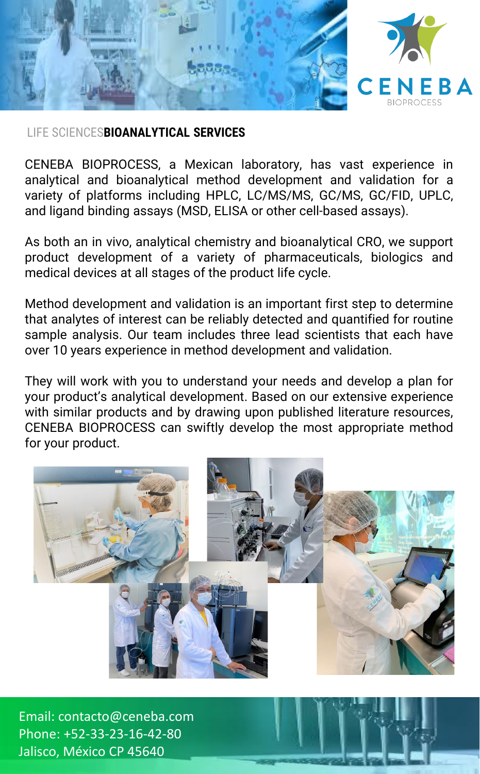

#### LIFE SCIENCES**BIOANALYTICAL SERVICES**

CENEBA BIOPROCESS, a Mexican laboratory, has vast experience in analytical and bioanalytical method development and validation for a variety of platforms including HPLC, LC/MS/MS, GC/MS, GC/FID, UPLC, and ligand binding assays (MSD, ELISA or other cell-based assays).

As both an in vivo, analytical chemistry and bioanalytical CRO, we support product development of a variety of pharmaceuticals, biologics and medical devices at all stages of the product life cycle.

Method development and validation is an important first step to determine that analytes of interest can be reliably detected and quantified for routine sample analysis. Our team includes three lead scientists that each have over 10 years experience in method development and validation.

They will work with you to understand your needs and develop a plan for your product's analytical development. Based on our extensive experience with similar products and by drawing upon published literature resources, CENEBA BIOPROCESS can swiftly develop the most appropriate method for your product.



Email: contacto@ceneba.com Phone: +52-33-23-16-42-80 Jalisco, México CP 45640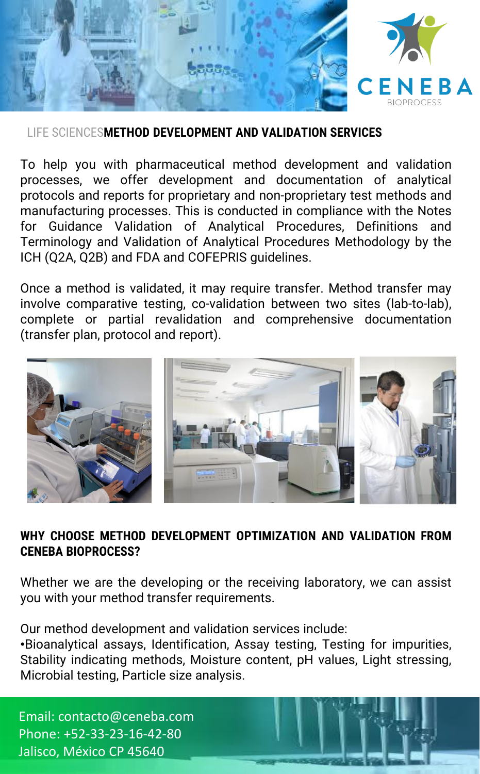

#### LIFE SCIENCES**METHOD DEVELOPMENT AND VALIDATION SERVICES**

To help you with pharmaceutical method development and validation processes, we offer development and documentation of analytical protocols and reports for proprietary and non-proprietary test methods and manufacturing processes. This is conducted in compliance with the Notes for Guidance Validation of Analytical Procedures, Definitions and Terminology and Validation of Analytical Procedures Methodology by the ICH (Q2A, Q2B) and FDA and COFEPRIS guidelines.

Once a method is validated, it may require transfer. Method transfer may involve comparative testing, co-validation between two sites (lab-to-lab), complete or partial revalidation and comprehensive documentation (transfer plan, protocol and report).



### **WHY CHOOSE METHOD DEVELOPMENT OPTIMIZATION AND VALIDATION FROM CENEBA BIOPROCESS?**

Whether we are the developing or the receiving laboratory, we can assist you with your method transfer requirements.

Our method development and validation services include:

•Bioanalytical assays, Identification, Assay testing, Testing for impurities, Stability indicating methods, Moisture content, pH values, Light stressing, Microbial testing, Particle size analysis.

Email: contacto@ceneba.com Phone: +52-33-23-16-42-80 Jalisco, México CP 45640